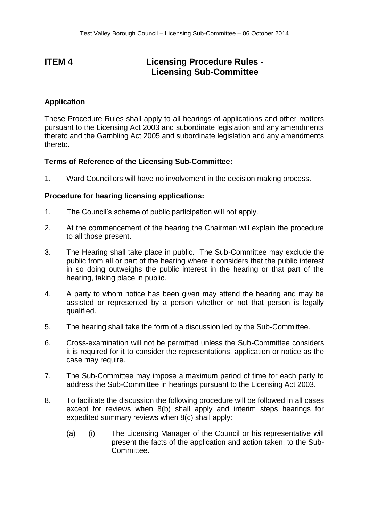## **ITEM 4 Licensing Procedure Rules - Licensing Sub-Committee**

## **Application**

These Procedure Rules shall apply to all hearings of applications and other matters pursuant to the Licensing Act 2003 and subordinate legislation and any amendments thereto and the Gambling Act 2005 and subordinate legislation and any amendments thereto.

## **Terms of Reference of the Licensing Sub-Committee:**

1. Ward Councillors will have no involvement in the decision making process.

## **Procedure for hearing licensing applications:**

- 1. The Council's scheme of public participation will not apply.
- 2. At the commencement of the hearing the Chairman will explain the procedure to all those present.
- 3. The Hearing shall take place in public. The Sub-Committee may exclude the public from all or part of the hearing where it considers that the public interest in so doing outweighs the public interest in the hearing or that part of the hearing, taking place in public.
- 4. A party to whom notice has been given may attend the hearing and may be assisted or represented by a person whether or not that person is legally qualified.
- 5. The hearing shall take the form of a discussion led by the Sub-Committee.
- 6. Cross-examination will not be permitted unless the Sub-Committee considers it is required for it to consider the representations, application or notice as the case may require.
- 7. The Sub-Committee may impose a maximum period of time for each party to address the Sub-Committee in hearings pursuant to the Licensing Act 2003.
- 8. To facilitate the discussion the following procedure will be followed in all cases except for reviews when 8(b) shall apply and interim steps hearings for expedited summary reviews when 8(c) shall apply:
	- (a) (i) The Licensing Manager of the Council or his representative will present the facts of the application and action taken, to the Sub-Committee.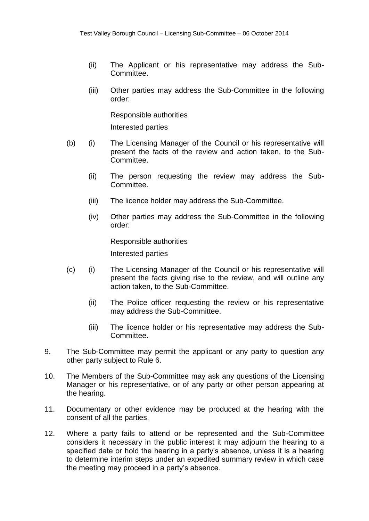- (ii) The Applicant or his representative may address the Sub-Committee.
- (iii) Other parties may address the Sub-Committee in the following order:

Responsible authorities

Interested parties

- (b) (i) The Licensing Manager of the Council or his representative will present the facts of the review and action taken, to the Sub-Committee.
	- (ii) The person requesting the review may address the Sub-Committee.
	- (iii) The licence holder may address the Sub-Committee.
	- (iv) Other parties may address the Sub-Committee in the following order:

Responsible authorities Interested parties

- (c) (i) The Licensing Manager of the Council or his representative will present the facts giving rise to the review, and will outline any action taken, to the Sub-Committee.
	- (ii) The Police officer requesting the review or his representative may address the Sub-Committee.
	- (iii) The licence holder or his representative may address the Sub-Committee.
- 9. The Sub-Committee may permit the applicant or any party to question any other party subject to Rule 6.
- 10. The Members of the Sub-Committee may ask any questions of the Licensing Manager or his representative, or of any party or other person appearing at the hearing.
- 11. Documentary or other evidence may be produced at the hearing with the consent of all the parties.
- 12. Where a party fails to attend or be represented and the Sub-Committee considers it necessary in the public interest it may adjourn the hearing to a specified date or hold the hearing in a party's absence, unless it is a hearing to determine interim steps under an expedited summary review in which case the meeting may proceed in a party's absence.